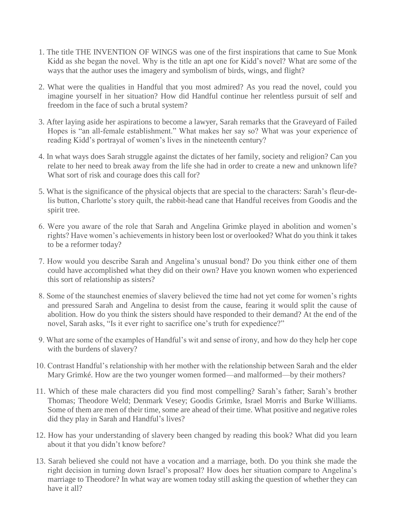- 1. The title THE INVENTION OF WINGS was one of the first inspirations that came to Sue Monk Kidd as she began the novel. Why is the title an apt one for Kidd's novel? What are some of the ways that the author uses the imagery and symbolism of birds, wings, and flight?
- 2. What were the qualities in Handful that you most admired? As you read the novel, could you imagine yourself in her situation? How did Handful continue her relentless pursuit of self and freedom in the face of such a brutal system?
- 3. After laying aside her aspirations to become a lawyer, Sarah remarks that the Graveyard of Failed Hopes is "an all-female establishment." What makes her say so? What was your experience of reading Kidd's portrayal of women's lives in the nineteenth century?
- 4. In what ways does Sarah struggle against the dictates of her family, society and religion? Can you relate to her need to break away from the life she had in order to create a new and unknown life? What sort of risk and courage does this call for?
- 5. What is the significance of the physical objects that are special to the characters: Sarah's fleur-delis button, Charlotte's story quilt, the rabbit-head cane that Handful receives from Goodis and the spirit tree.
- 6. Were you aware of the role that Sarah and Angelina Grimke played in abolition and women's rights? Have women's achievements in history been lost or overlooked? What do you think it takes to be a reformer today?
- 7. How would you describe Sarah and Angelina's unusual bond? Do you think either one of them could have accomplished what they did on their own? Have you known women who experienced this sort of relationship as sisters?
- 8. Some of the staunchest enemies of slavery believed the time had not yet come for women's rights and pressured Sarah and Angelina to desist from the cause, fearing it would split the cause of abolition. How do you think the sisters should have responded to their demand? At the end of the novel, Sarah asks, "Is it ever right to sacrifice one's truth for expedience?"
- 9. What are some of the examples of Handful's wit and sense of irony, and how do they help her cope with the burdens of slavery?
- 10. Contrast Handful's relationship with her mother with the relationship between Sarah and the elder Mary Grimké. How are the two younger women formed—and malformed—by their mothers?
- 11. Which of these male characters did you find most compelling? Sarah's father; Sarah's brother Thomas; Theodore Weld; Denmark Vesey; Goodis Grimke, Israel Morris and Burke Williams. Some of them are men of their time, some are ahead of their time. What positive and negative roles did they play in Sarah and Handful's lives?
- 12. How has your understanding of slavery been changed by reading this book? What did you learn about it that you didn't know before?
- 13. Sarah believed she could not have a vocation and a marriage, both. Do you think she made the right decision in turning down Israel's proposal? How does her situation compare to Angelina's marriage to Theodore? In what way are women today still asking the question of whether they can have it all?